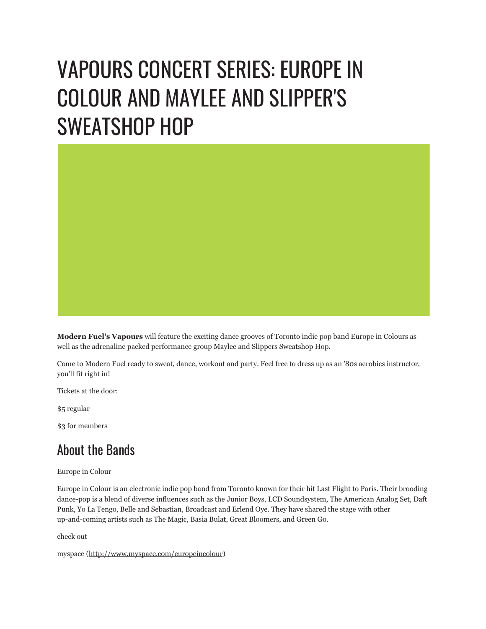## VAPOURS CONCERT SERIES: EUROPE IN COLOUR AND MAYLEE AND SLIPPER'S SWEATSHOP HOP

**Modern Fuel's Vapours** will feature the exciting dance grooves of Toronto indie pop band Europe in Colours as well as the adrenaline packed performance group Maylee and Slippers Sweatshop Hop.

Come to Modern Fuel ready to sweat, dance, workout and party. Feel free to dress up as an '80s aerobics instructor, you'll fit right in!

Tickets at the door:

\$5 regular

\$3 for members

## About the Bands

Europe in Colour

Europe in Colour is an electronic indie pop band from Toronto known for their hit Last Flight to Paris. Their brooding dance-pop is a blend of diverse influences such as the Junior Boys, LCD Soundsystem, The American Analog Set, Daft Punk, Yo La Tengo, Belle and Sebastian, Broadcast and Erlend Oye. They have shared the stage with other up-and-coming artists such as The Magic, Basia Bulat, Great Bloomers, and Green Go.

check out

```
myspace (http://www.myspace.com/europeincolour)
```